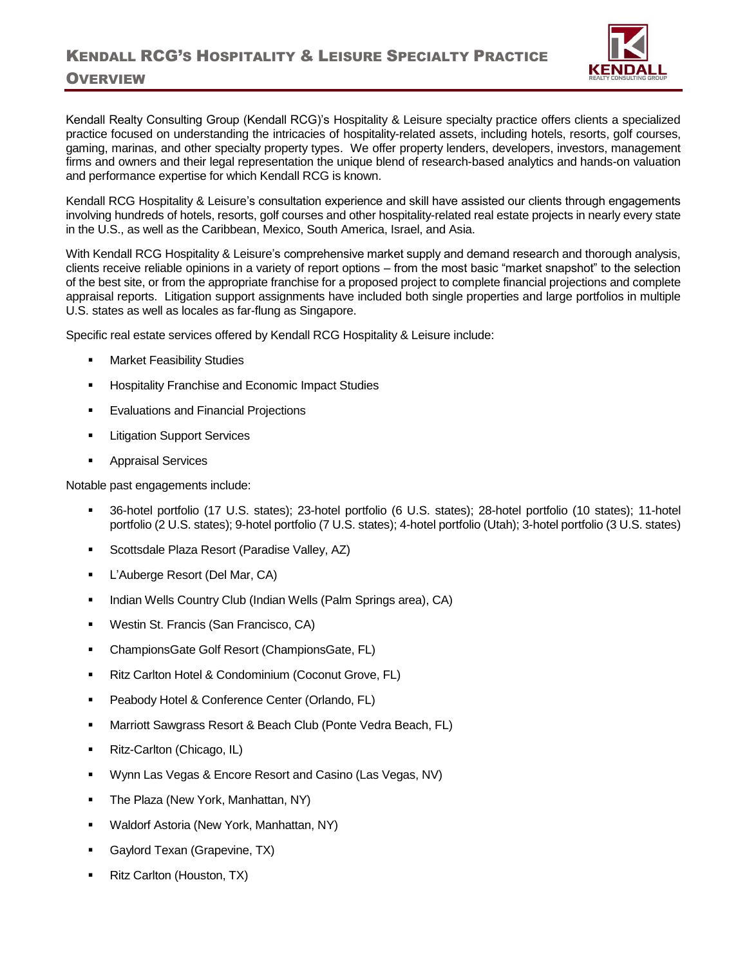

## Kendall Realty Consulting Group (Kendall RCG)'s Hospitality & Leisure specialty practice offers clients a specialized practice focused on understanding the intricacies of hospitality-related assets, including hotels, resorts, golf courses, gaming, marinas, and other specialty property types. We offer property lenders, developers, investors, management firms and owners and their legal representation the unique blend of research-based analytics and hands-on valuation and performance expertise for which Kendall RCG is known.

Kendall RCG Hospitality & Leisure's consultation experience and skill have assisted our clients through engagements involving hundreds of hotels, resorts, golf courses and other hospitality-related real estate projects in nearly every state in the U.S., as well as the Caribbean, Mexico, South America, Israel, and Asia.

With Kendall RCG Hospitality & Leisure's comprehensive market supply and demand research and thorough analysis, clients receive reliable opinions in a variety of report options – from the most basic "market snapshot" to the selection of the best site, or from the appropriate franchise for a proposed project to complete financial projections and complete appraisal reports. Litigation support assignments have included both single properties and large portfolios in multiple U.S. states as well as locales as far-flung as Singapore.

Specific real estate services offered by Kendall RCG Hospitality & Leisure include:

- **Market Feasibility Studies**
- Hospitality Franchise and Economic Impact Studies
- **Evaluations and Financial Projections**
- **Litigation Support Services**
- **Appraisal Services**

Notable past engagements include:

- 36-hotel portfolio (17 U.S. states); 23-hotel portfolio (6 U.S. states); 28-hotel portfolio (10 states); 11-hotel portfolio (2 U.S. states); 9-hotel portfolio (7 U.S. states); 4-hotel portfolio (Utah); 3-hotel portfolio (3 U.S. states)
- Scottsdale Plaza Resort (Paradise Valley, AZ)
- L'Auberge Resort (Del Mar, CA)
- Indian Wells Country Club (Indian Wells (Palm Springs area), CA)
- Westin St. Francis (San Francisco, CA)
- ChampionsGate Golf Resort (ChampionsGate, FL)
- Ritz Carlton Hotel & Condominium (Coconut Grove, FL)
- Peabody Hotel & Conference Center (Orlando, FL)
- Marriott Sawgrass Resort & Beach Club (Ponte Vedra Beach, FL)
- Ritz-Carlton (Chicago, IL)
- Wynn Las Vegas & Encore Resort and Casino (Las Vegas, NV)
- The Plaza (New York, Manhattan, NY)
- Waldorf Astoria (New York, Manhattan, NY)
- Gaylord Texan (Grapevine, TX)
- Ritz Carlton (Houston, TX)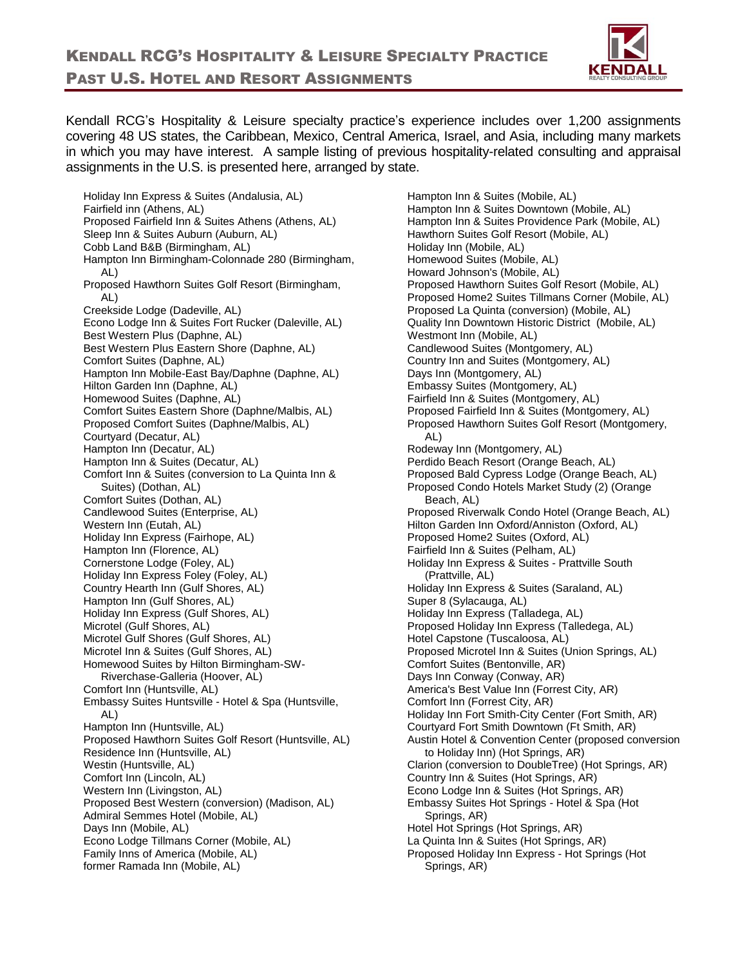

Kendall RCG's Hospitality & Leisure specialty practice's experience includes over 1,200 assignments covering 48 US states, the Caribbean, Mexico, Central America, Israel, and Asia, including many markets in which you may have interest. A sample listing of previous hospitality-related consulting and appraisal assignments in the U.S. is presented here, arranged by state.

Holiday Inn Express & Suites (Andalusia, AL) Fairfield inn (Athens, AL) Proposed Fairfield Inn & Suites Athens (Athens, AL) Sleep Inn & Suites Auburn (Auburn, AL) Cobb Land B&B (Birmingham, AL) Hampton Inn Birmingham-Colonnade 280 (Birmingham, AL) Proposed Hawthorn Suites Golf Resort (Birmingham, AL) Creekside Lodge (Dadeville, AL) Econo Lodge Inn & Suites Fort Rucker (Daleville, AL) Best Western Plus (Daphne, AL) Best Western Plus Eastern Shore (Daphne, AL) Comfort Suites (Daphne, AL) Hampton Inn Mobile-East Bay/Daphne (Daphne, AL) Hilton Garden Inn (Daphne, AL) Homewood Suites (Daphne, AL) Comfort Suites Eastern Shore (Daphne/Malbis, AL) Proposed Comfort Suites (Daphne/Malbis, AL) Courtyard (Decatur, AL) Hampton Inn (Decatur, AL) Hampton Inn & Suites (Decatur, AL) Comfort Inn & Suites (conversion to La Quinta Inn & Suites) (Dothan, AL) Comfort Suites (Dothan, AL) Candlewood Suites (Enterprise, AL) Western Inn (Eutah, AL) Holiday Inn Express (Fairhope, AL) Hampton Inn (Florence, AL) Cornerstone Lodge (Foley, AL) Holiday Inn Express Foley (Foley, AL) Country Hearth Inn (Gulf Shores, AL) Hampton Inn (Gulf Shores, AL) Holiday Inn Express (Gulf Shores, AL) Microtel (Gulf Shores, AL) Microtel Gulf Shores (Gulf Shores, AL) Microtel Inn & Suites (Gulf Shores, AL) Homewood Suites by Hilton Birmingham-SW-Riverchase-Galleria (Hoover, AL) Comfort Inn (Huntsville, AL) Embassy Suites Huntsville - Hotel & Spa (Huntsville, AL) Hampton Inn (Huntsville, AL) Proposed Hawthorn Suites Golf Resort (Huntsville, AL) Residence Inn (Huntsville, AL) Westin (Huntsville, AL) Comfort Inn (Lincoln, AL) Western Inn (Livingston, AL) Proposed Best Western (conversion) (Madison, AL) Admiral Semmes Hotel (Mobile, AL) Days Inn (Mobile, AL) Econo Lodge Tillmans Corner (Mobile, AL) Family Inns of America (Mobile, AL) former Ramada Inn (Mobile, AL)

Hampton Inn & Suites (Mobile, AL) Hampton Inn & Suites Downtown (Mobile, AL) Hampton Inn & Suites Providence Park (Mobile, AL) Hawthorn Suites Golf Resort (Mobile, AL) Holiday Inn (Mobile, AL) Homewood Suites (Mobile, AL) Howard Johnson's (Mobile, AL) Proposed Hawthorn Suites Golf Resort (Mobile, AL) Proposed Home2 Suites Tillmans Corner (Mobile, AL) Proposed La Quinta (conversion) (Mobile, AL) Quality Inn Downtown Historic District (Mobile, AL) Westmont Inn (Mobile, AL) Candlewood Suites (Montgomery, AL) Country Inn and Suites (Montgomery, AL) Days Inn (Montgomery, AL) Embassy Suites (Montgomery, AL) Fairfield Inn & Suites (Montgomery, AL) Proposed Fairfield Inn & Suites (Montgomery, AL) Proposed Hawthorn Suites Golf Resort (Montgomery, AL) Rodeway Inn (Montgomery, AL) Perdido Beach Resort (Orange Beach, AL) Proposed Bald Cypress Lodge (Orange Beach, AL) Proposed Condo Hotels Market Study (2) (Orange Beach, AL) Proposed Riverwalk Condo Hotel (Orange Beach, AL) Hilton Garden Inn Oxford/Anniston (Oxford, AL) Proposed Home2 Suites (Oxford, AL) Fairfield Inn & Suites (Pelham, AL) Holiday Inn Express & Suites - Prattville South (Prattville, AL) Holiday Inn Express & Suites (Saraland, AL) Super 8 (Sylacauga, AL) Holiday Inn Express (Talladega, AL) Proposed Holiday Inn Express (Talledega, AL) Hotel Capstone (Tuscaloosa, AL) Proposed Microtel Inn & Suites (Union Springs, AL) Comfort Suites (Bentonville, AR) Days Inn Conway (Conway, AR) America's Best Value Inn (Forrest City, AR) Comfort Inn (Forrest City, AR) Holiday Inn Fort Smith-City Center (Fort Smith, AR) Courtyard Fort Smith Downtown (Ft Smith, AR) Austin Hotel & Convention Center (proposed conversion to Holiday Inn) (Hot Springs, AR) Clarion (conversion to DoubleTree) (Hot Springs, AR) Country Inn & Suites (Hot Springs, AR) Econo Lodge Inn & Suites (Hot Springs, AR) Embassy Suites Hot Springs - Hotel & Spa (Hot Springs, AR) Hotel Hot Springs (Hot Springs, AR) La Quinta Inn & Suites (Hot Springs, AR) Proposed Holiday Inn Express - Hot Springs (Hot Springs, AR)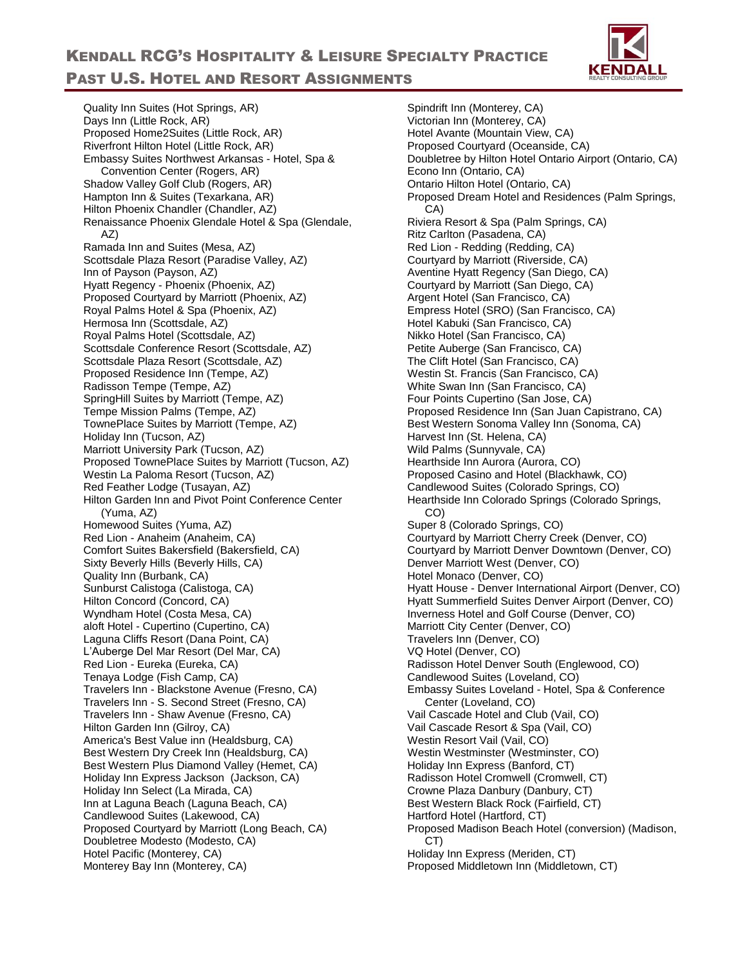Quality Inn Suites (Hot Springs, AR) Days Inn (Little Rock, AR) Proposed Home2Suites (Little Rock, AR) Riverfront Hilton Hotel (Little Rock, AR) Embassy Suites Northwest Arkansas - Hotel, Spa & Convention Center (Rogers, AR) Shadow Valley Golf Club (Rogers, AR) Hampton Inn & Suites (Texarkana, AR) Hilton Phoenix Chandler (Chandler, AZ) Renaissance Phoenix Glendale Hotel & Spa (Glendale, AZ) Ramada Inn and Suites (Mesa, AZ) Scottsdale Plaza Resort (Paradise Valley, AZ) Inn of Payson (Payson, AZ) Hyatt Regency - Phoenix (Phoenix, AZ) Proposed Courtyard by Marriott (Phoenix, AZ) Royal Palms Hotel & Spa (Phoenix, AZ) Hermosa Inn (Scottsdale, AZ) Royal Palms Hotel (Scottsdale, AZ) Scottsdale Conference Resort (Scottsdale, AZ) Scottsdale Plaza Resort (Scottsdale, AZ) Proposed Residence Inn (Tempe, AZ) Radisson Tempe (Tempe, AZ) SpringHill Suites by Marriott (Tempe, AZ) Tempe Mission Palms (Tempe, AZ) TownePlace Suites by Marriott (Tempe, AZ) Holiday Inn (Tucson, AZ) Marriott University Park (Tucson, AZ) Proposed TownePlace Suites by Marriott (Tucson, AZ) Westin La Paloma Resort (Tucson, AZ) Red Feather Lodge (Tusayan, AZ) Hilton Garden Inn and Pivot Point Conference Center (Yuma, AZ) Homewood Suites (Yuma, AZ) Red Lion - Anaheim (Anaheim, CA) Comfort Suites Bakersfield (Bakersfield, CA) Sixty Beverly Hills (Beverly Hills, CA) Quality Inn (Burbank, CA) Sunburst Calistoga (Calistoga, CA) Hilton Concord (Concord, CA) Wyndham Hotel (Costa Mesa, CA) aloft Hotel - Cupertino (Cupertino, CA) Laguna Cliffs Resort (Dana Point, CA) L'Auberge Del Mar Resort (Del Mar, CA) Red Lion - Eureka (Eureka, CA) Tenaya Lodge (Fish Camp, CA) Travelers Inn - Blackstone Avenue (Fresno, CA) Travelers Inn - S. Second Street (Fresno, CA) Travelers Inn - Shaw Avenue (Fresno, CA) Hilton Garden Inn (Gilroy, CA) America's Best Value inn (Healdsburg, CA) Best Western Dry Creek Inn (Healdsburg, CA) Best Western Plus Diamond Valley (Hemet, CA) Holiday Inn Express Jackson (Jackson, CA) Holiday Inn Select (La Mirada, CA) Inn at Laguna Beach (Laguna Beach, CA) Candlewood Suites (Lakewood, CA) Proposed Courtyard by Marriott (Long Beach, CA) Doubletree Modesto (Modesto, CA) Hotel Pacific (Monterey, CA) Monterey Bay Inn (Monterey, CA)

Spindrift Inn (Monterey, CA) Victorian Inn (Monterey, CA) Hotel Avante (Mountain View, CA) Proposed Courtyard (Oceanside, CA) Doubletree by Hilton Hotel Ontario Airport (Ontario, CA) Econo Inn (Ontario, CA) Ontario Hilton Hotel (Ontario, CA) Proposed Dream Hotel and Residences (Palm Springs, CA) Riviera Resort & Spa (Palm Springs, CA) Ritz Carlton (Pasadena, CA) Red Lion - Redding (Redding, CA) Courtyard by Marriott (Riverside, CA) Aventine Hyatt Regency (San Diego, CA) Courtyard by Marriott (San Diego, CA) Argent Hotel (San Francisco, CA) Empress Hotel (SRO) (San Francisco, CA) Hotel Kabuki (San Francisco, CA) Nikko Hotel (San Francisco, CA) Petite Auberge (San Francisco, CA) The Clift Hotel (San Francisco, CA) Westin St. Francis (San Francisco, CA) White Swan Inn (San Francisco, CA) Four Points Cupertino (San Jose, CA) Proposed Residence Inn (San Juan Capistrano, CA) Best Western Sonoma Valley Inn (Sonoma, CA) Harvest Inn (St. Helena, CA) Wild Palms (Sunnyvale, CA) Hearthside Inn Aurora (Aurora, CO) Proposed Casino and Hotel (Blackhawk, CO) Candlewood Suites (Colorado Springs, CO) Hearthside Inn Colorado Springs (Colorado Springs, CO) Super 8 (Colorado Springs, CO) Courtyard by Marriott Cherry Creek (Denver, CO) Courtyard by Marriott Denver Downtown (Denver, CO) Denver Marriott West (Denver, CO) Hotel Monaco (Denver, CO) Hyatt House - Denver International Airport (Denver, CO) Hyatt Summerfield Suites Denver Airport (Denver, CO) Inverness Hotel and Golf Course (Denver, CO) Marriott City Center (Denver, CO) Travelers Inn (Denver, CO) VQ Hotel (Denver, CO) Radisson Hotel Denver South (Englewood, CO) Candlewood Suites (Loveland, CO) Embassy Suites Loveland - Hotel, Spa & Conference Center (Loveland, CO) Vail Cascade Hotel and Club (Vail, CO) Vail Cascade Resort & Spa (Vail, CO) Westin Resort Vail (Vail, CO) Westin Westminster (Westminster, CO) Holiday Inn Express (Banford, CT) Radisson Hotel Cromwell (Cromwell, CT) Crowne Plaza Danbury (Danbury, CT) Best Western Black Rock (Fairfield, CT) Hartford Hotel (Hartford, CT) Proposed Madison Beach Hotel (conversion) (Madison, CT) Holiday Inn Express (Meriden, CT) Proposed Middletown Inn (Middletown, CT)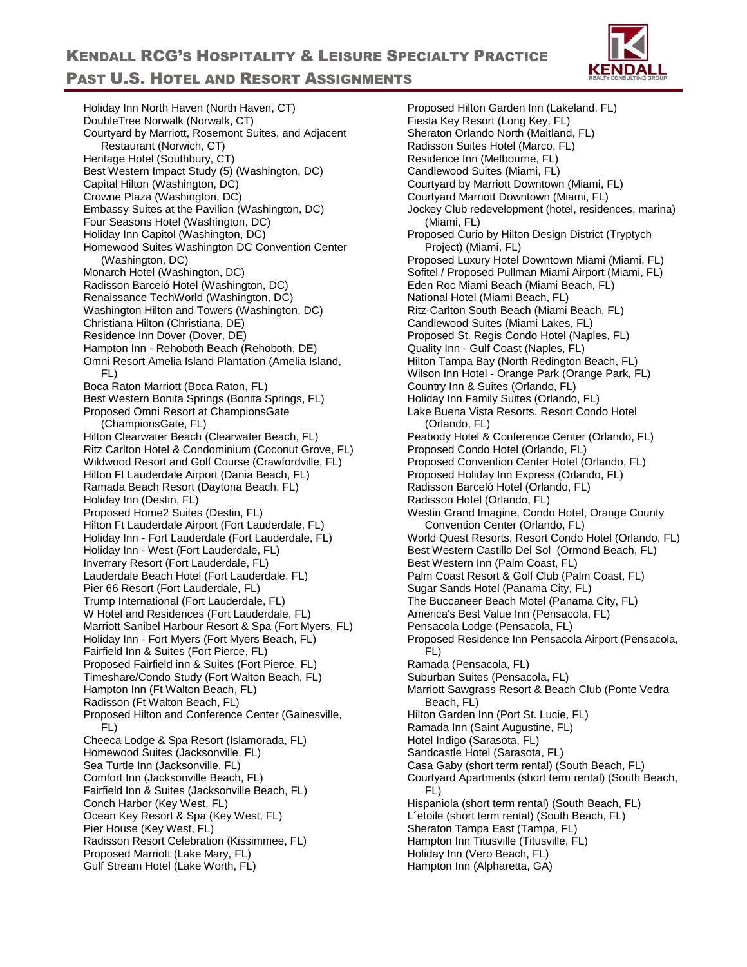

Holiday Inn North Haven (North Haven, CT) DoubleTree Norwalk (Norwalk, CT) Courtyard by Marriott, Rosemont Suites, and Adjacent Restaurant (Norwich, CT) Heritage Hotel (Southbury, CT) Best Western Impact Study (5) (Washington, DC) Capital Hilton (Washington, DC) Crowne Plaza (Washington, DC) Embassy Suites at the Pavilion (Washington, DC) Four Seasons Hotel (Washington, DC) Holiday Inn Capitol (Washington, DC) Homewood Suites Washington DC Convention Center (Washington, DC) Monarch Hotel (Washington, DC) Radisson Barceló Hotel (Washington, DC) Renaissance TechWorld (Washington, DC) Washington Hilton and Towers (Washington, DC) Christiana Hilton (Christiana, DE) Residence Inn Dover (Dover, DE) Hampton Inn - Rehoboth Beach (Rehoboth, DE) Omni Resort Amelia Island Plantation (Amelia Island, FL) Boca Raton Marriott (Boca Raton, FL) Best Western Bonita Springs (Bonita Springs, FL) Proposed Omni Resort at ChampionsGate (ChampionsGate, FL) Hilton Clearwater Beach (Clearwater Beach, FL) Ritz Carlton Hotel & Condominium (Coconut Grove, FL) Wildwood Resort and Golf Course (Crawfordville, FL) Hilton Ft Lauderdale Airport (Dania Beach, FL) Ramada Beach Resort (Daytona Beach, FL) Holiday Inn (Destin, FL) Proposed Home2 Suites (Destin, FL) Hilton Ft Lauderdale Airport (Fort Lauderdale, FL) Holiday Inn - Fort Lauderdale (Fort Lauderdale, FL) Holiday Inn - West (Fort Lauderdale, FL) Inverrary Resort (Fort Lauderdale, FL) Lauderdale Beach Hotel (Fort Lauderdale, FL) Pier 66 Resort (Fort Lauderdale, FL) Trump International (Fort Lauderdale, FL) W Hotel and Residences (Fort Lauderdale, FL) Marriott Sanibel Harbour Resort & Spa (Fort Myers, FL) Holiday Inn - Fort Myers (Fort Myers Beach, FL) Fairfield Inn & Suites (Fort Pierce, FL) Proposed Fairfield inn & Suites (Fort Pierce, FL) Timeshare/Condo Study (Fort Walton Beach, FL) Hampton Inn (Ft Walton Beach, FL) Radisson (Ft Walton Beach, FL) Proposed Hilton and Conference Center (Gainesville, FL) Cheeca Lodge & Spa Resort (Islamorada, FL) Homewood Suites (Jacksonville, FL) Sea Turtle Inn (Jacksonville, FL) Comfort Inn (Jacksonville Beach, FL) Fairfield Inn & Suites (Jacksonville Beach, FL) Conch Harbor (Key West, FL) Ocean Key Resort & Spa (Key West, FL) Pier House (Key West, FL) Radisson Resort Celebration (Kissimmee, FL) Proposed Marriott (Lake Mary, FL) Gulf Stream Hotel (Lake Worth, FL)

Proposed Hilton Garden Inn (Lakeland, FL) Fiesta Key Resort (Long Key, FL) Sheraton Orlando North (Maitland, FL) Radisson Suites Hotel (Marco, FL) Residence Inn (Melbourne, FL) Candlewood Suites (Miami, FL) Courtyard by Marriott Downtown (Miami, FL) Courtyard Marriott Downtown (Miami, FL) Jockey Club redevelopment (hotel, residences, marina) (Miami, FL) Proposed Curio by Hilton Design District (Tryptych Project) (Miami, FL) Proposed Luxury Hotel Downtown Miami (Miami, FL) Sofitel / Proposed Pullman Miami Airport (Miami, FL) Eden Roc Miami Beach (Miami Beach, FL) National Hotel (Miami Beach, FL) Ritz-Carlton South Beach (Miami Beach, FL) Candlewood Suites (Miami Lakes, FL) Proposed St. Regis Condo Hotel (Naples, FL) Quality Inn - Gulf Coast (Naples, FL) Hilton Tampa Bay (North Redington Beach, FL) Wilson Inn Hotel - Orange Park (Orange Park, FL) Country Inn & Suites (Orlando, FL) Holiday Inn Family Suites (Orlando, FL) Lake Buena Vista Resorts, Resort Condo Hotel (Orlando, FL) Peabody Hotel & Conference Center (Orlando, FL) Proposed Condo Hotel (Orlando, FL) Proposed Convention Center Hotel (Orlando, FL) Proposed Holiday Inn Express (Orlando, FL) Radisson Barceló Hotel (Orlando, FL) Radisson Hotel (Orlando, FL) Westin Grand Imagine, Condo Hotel, Orange County Convention Center (Orlando, FL) World Quest Resorts, Resort Condo Hotel (Orlando, FL) Best Western Castillo Del Sol (Ormond Beach, FL) Best Western Inn (Palm Coast, FL) Palm Coast Resort & Golf Club (Palm Coast, FL) Sugar Sands Hotel (Panama City, FL) The Buccaneer Beach Motel (Panama City, FL) America's Best Value Inn (Pensacola, FL) Pensacola Lodge (Pensacola, FL) Proposed Residence Inn Pensacola Airport (Pensacola, FL) Ramada (Pensacola, FL) Suburban Suites (Pensacola, FL) Marriott Sawgrass Resort & Beach Club (Ponte Vedra Beach, FL) Hilton Garden Inn (Port St. Lucie, FL) Ramada Inn (Saint Augustine, FL) Hotel Indigo (Sarasota, FL) Sandcastle Hotel (Sarasota, FL) Casa Gaby (short term rental) (South Beach, FL) Courtyard Apartments (short term rental) (South Beach, FL) Hispaniola (short term rental) (South Beach, FL) L´etoile (short term rental) (South Beach, FL) Sheraton Tampa East (Tampa, FL) Hampton Inn Titusville (Titusville, FL) Holiday Inn (Vero Beach, FL) Hampton Inn (Alpharetta, GA)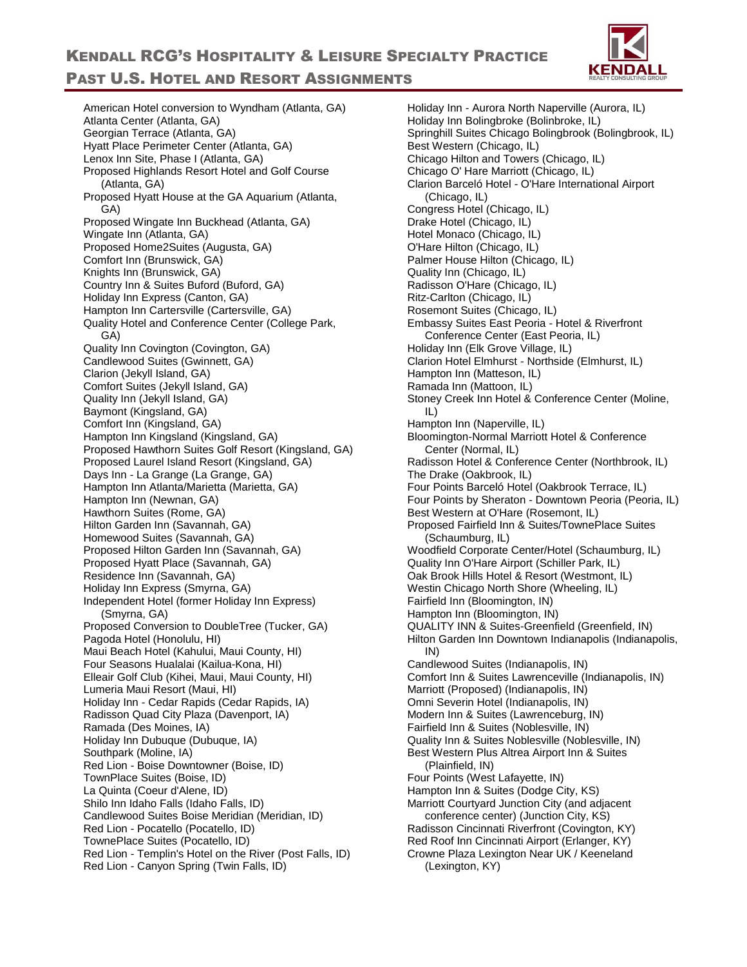

American Hotel conversion to Wyndham (Atlanta, GA) Atlanta Center (Atlanta, GA) Georgian Terrace (Atlanta, GA) Hyatt Place Perimeter Center (Atlanta, GA) Lenox Inn Site, Phase I (Atlanta, GA) Proposed Highlands Resort Hotel and Golf Course (Atlanta, GA) Proposed Hyatt House at the GA Aquarium (Atlanta, GA) Proposed Wingate Inn Buckhead (Atlanta, GA) Wingate Inn (Atlanta, GA) Proposed Home2Suites (Augusta, GA) Comfort Inn (Brunswick, GA) Knights Inn (Brunswick, GA) Country Inn & Suites Buford (Buford, GA) Holiday Inn Express (Canton, GA) Hampton Inn Cartersville (Cartersville, GA) Quality Hotel and Conference Center (College Park, GA) Quality Inn Covington (Covington, GA) Candlewood Suites (Gwinnett, GA) Clarion (Jekyll Island, GA) Comfort Suites (Jekyll Island, GA) Quality Inn (Jekyll Island, GA) Baymont (Kingsland, GA) Comfort Inn (Kingsland, GA) Hampton Inn Kingsland (Kingsland, GA) Proposed Hawthorn Suites Golf Resort (Kingsland, GA) Proposed Laurel Island Resort (Kingsland, GA) Days Inn - La Grange (La Grange, GA) Hampton Inn Atlanta/Marietta (Marietta, GA) Hampton Inn (Newnan, GA) Hawthorn Suites (Rome, GA) Hilton Garden Inn (Savannah, GA) Homewood Suites (Savannah, GA) Proposed Hilton Garden Inn (Savannah, GA) Proposed Hyatt Place (Savannah, GA) Residence Inn (Savannah, GA) Holiday Inn Express (Smyrna, GA) Independent Hotel (former Holiday Inn Express) (Smyrna, GA) Proposed Conversion to DoubleTree (Tucker, GA) Pagoda Hotel (Honolulu, HI) Maui Beach Hotel (Kahului, Maui County, HI) Four Seasons Hualalai (Kailua-Kona, HI) Elleair Golf Club (Kihei, Maui, Maui County, HI) Lumeria Maui Resort (Maui, HI) Holiday Inn - Cedar Rapids (Cedar Rapids, IA) Radisson Quad City Plaza (Davenport, IA) Ramada (Des Moines, IA) Holiday Inn Dubuque (Dubuque, IA) Southpark (Moline, IA) Red Lion - Boise Downtowner (Boise, ID) TownPlace Suites (Boise, ID) La Quinta (Coeur d'Alene, ID) Shilo Inn Idaho Falls (Idaho Falls, ID) Candlewood Suites Boise Meridian (Meridian, ID) Red Lion - Pocatello (Pocatello, ID) TownePlace Suites (Pocatello, ID) Red Lion - Templin's Hotel on the River (Post Falls, ID) Red Lion - Canyon Spring (Twin Falls, ID)

Holiday Inn - Aurora North Naperville (Aurora, IL) Holiday Inn Bolingbroke (Bolinbroke, IL) Springhill Suites Chicago Bolingbrook (Bolingbrook, IL) Best Western (Chicago, IL) Chicago Hilton and Towers (Chicago, IL) Chicago O' Hare Marriott (Chicago, IL) Clarion Barceló Hotel - O'Hare International Airport (Chicago, IL) Congress Hotel (Chicago, IL) Drake Hotel (Chicago, IL) Hotel Monaco (Chicago, IL) O'Hare Hilton (Chicago, IL) Palmer House Hilton (Chicago, IL) Quality Inn (Chicago, IL) Radisson O'Hare (Chicago, IL) Ritz-Carlton (Chicago, IL) Rosemont Suites (Chicago, IL) Embassy Suites East Peoria - Hotel & Riverfront Conference Center (East Peoria, IL) Holiday Inn (Elk Grove Village, IL) Clarion Hotel Elmhurst - Northside (Elmhurst, IL) Hampton Inn (Matteson, IL) Ramada Inn (Mattoon, IL) Stoney Creek Inn Hotel & Conference Center (Moline, IL) Hampton Inn (Naperville, IL) Bloomington-Normal Marriott Hotel & Conference Center (Normal, IL) Radisson Hotel & Conference Center (Northbrook, IL) The Drake (Oakbrook, IL) Four Points Barceló Hotel (Oakbrook Terrace, IL) Four Points by Sheraton - Downtown Peoria (Peoria, IL) Best Western at O'Hare (Rosemont, IL) Proposed Fairfield Inn & Suites/TownePlace Suites (Schaumburg, IL) Woodfield Corporate Center/Hotel (Schaumburg, IL) Quality Inn O'Hare Airport (Schiller Park, IL) Oak Brook Hills Hotel & Resort (Westmont, IL) Westin Chicago North Shore (Wheeling, IL) Fairfield Inn (Bloomington, IN) Hampton Inn (Bloomington, IN) QUALITY INN & Suites-Greenfield (Greenfield, IN) Hilton Garden Inn Downtown Indianapolis (Indianapolis, IN) Candlewood Suites (Indianapolis, IN) Comfort Inn & Suites Lawrenceville (Indianapolis, IN) Marriott (Proposed) (Indianapolis, IN) Omni Severin Hotel (Indianapolis, IN) Modern Inn & Suites (Lawrenceburg, IN) Fairfield Inn & Suites (Noblesville, IN) Quality Inn & Suites Noblesville (Noblesville, IN) Best Western Plus Altrea Airport Inn & Suites (Plainfield, IN) Four Points (West Lafayette, IN) Hampton Inn & Suites (Dodge City, KS) Marriott Courtyard Junction City (and adjacent conference center) (Junction City, KS) Radisson Cincinnati Riverfront (Covington, KY) Red Roof Inn Cincinnati Airport (Erlanger, KY) Crowne Plaza Lexington Near UK / Keeneland (Lexington, KY)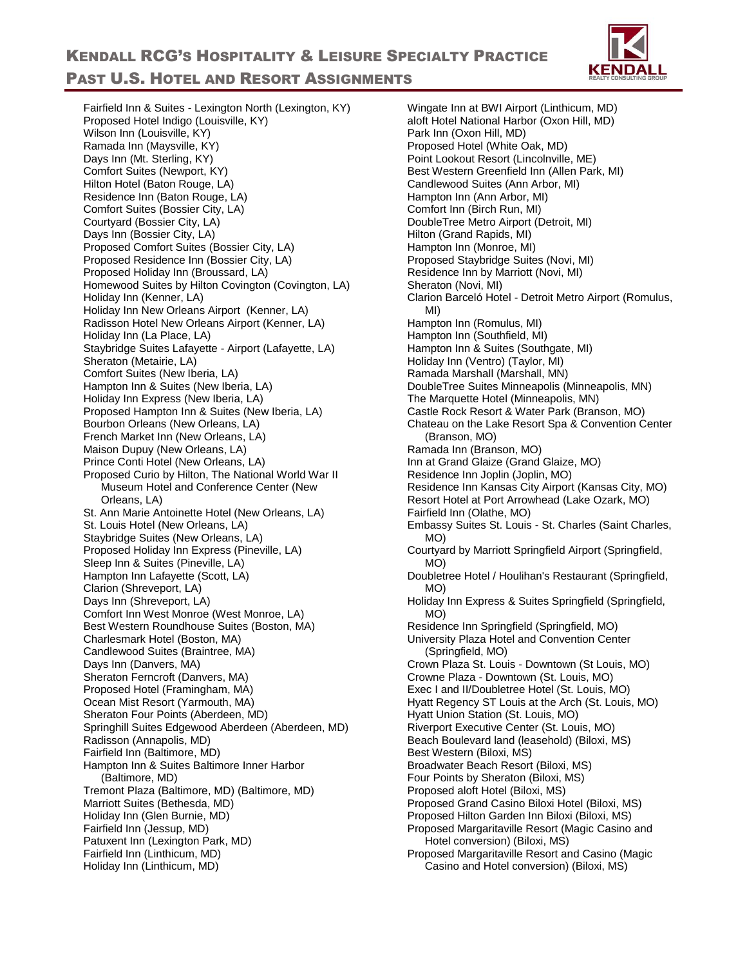

Fairfield Inn & Suites - Lexington North (Lexington, KY) Proposed Hotel Indigo (Louisville, KY) Wilson Inn (Louisville, KY) Ramada Inn (Maysville, KY) Days Inn (Mt. Sterling, KY) Comfort Suites (Newport, KY) Hilton Hotel (Baton Rouge, LA) Residence Inn (Baton Rouge, LA) Comfort Suites (Bossier City, LA) Courtyard (Bossier City, LA) Days Inn (Bossier City, LA) Proposed Comfort Suites (Bossier City, LA) Proposed Residence Inn (Bossier City, LA) Proposed Holiday Inn (Broussard, LA) Homewood Suites by Hilton Covington (Covington, LA) Holiday Inn (Kenner, LA) Holiday Inn New Orleans Airport (Kenner, LA) Radisson Hotel New Orleans Airport (Kenner, LA) Holiday Inn (La Place, LA) Staybridge Suites Lafayette - Airport (Lafayette, LA) Sheraton (Metairie, LA) Comfort Suites (New Iberia, LA) Hampton Inn & Suites (New Iberia, LA) Holiday Inn Express (New Iberia, LA) Proposed Hampton Inn & Suites (New Iberia, LA) Bourbon Orleans (New Orleans, LA) French Market Inn (New Orleans, LA) Maison Dupuy (New Orleans, LA) Prince Conti Hotel (New Orleans, LA) Proposed Curio by Hilton, The National World War II Museum Hotel and Conference Center (New Orleans, LA) St. Ann Marie Antoinette Hotel (New Orleans, LA) St. Louis Hotel (New Orleans, LA) Staybridge Suites (New Orleans, LA) Proposed Holiday Inn Express (Pineville, LA) Sleep Inn & Suites (Pineville, LA) Hampton Inn Lafayette (Scott, LA) Clarion (Shreveport, LA) Days Inn (Shreveport, LA) Comfort Inn West Monroe (West Monroe, LA) Best Western Roundhouse Suites (Boston, MA) Charlesmark Hotel (Boston, MA) Candlewood Suites (Braintree, MA) Days Inn (Danvers, MA) Sheraton Ferncroft (Danvers, MA) Proposed Hotel (Framingham, MA) Ocean Mist Resort (Yarmouth, MA) Sheraton Four Points (Aberdeen, MD) Springhill Suites Edgewood Aberdeen (Aberdeen, MD) Radisson (Annapolis, MD) Fairfield Inn (Baltimore, MD) Hampton Inn & Suites Baltimore Inner Harbor (Baltimore, MD) Tremont Plaza (Baltimore, MD) (Baltimore, MD) Marriott Suites (Bethesda, MD) Holiday Inn (Glen Burnie, MD) Fairfield Inn (Jessup, MD) Patuxent Inn (Lexington Park, MD) Fairfield Inn (Linthicum, MD) Holiday Inn (Linthicum, MD)

Wingate Inn at BWI Airport (Linthicum, MD) aloft Hotel National Harbor (Oxon Hill, MD) Park Inn (Oxon Hill, MD) Proposed Hotel (White Oak, MD) Point Lookout Resort (Lincolnville, ME) Best Western Greenfield Inn (Allen Park, MI) Candlewood Suites (Ann Arbor, MI) Hampton Inn (Ann Arbor, MI) Comfort Inn (Birch Run, MI) DoubleTree Metro Airport (Detroit, MI) Hilton (Grand Rapids, MI) Hampton Inn (Monroe, MI) Proposed Staybridge Suites (Novi, MI) Residence Inn by Marriott (Novi, MI) Sheraton (Novi, MI) Clarion Barceló Hotel - Detroit Metro Airport (Romulus, MI) Hampton Inn (Romulus, MI) Hampton Inn (Southfield, MI) Hampton Inn & Suites (Southgate, MI) Holiday Inn (Ventro) (Taylor, MI) Ramada Marshall (Marshall, MN) DoubleTree Suites Minneapolis (Minneapolis, MN) The Marquette Hotel (Minneapolis, MN) Castle Rock Resort & Water Park (Branson, MO) Chateau on the Lake Resort Spa & Convention Center (Branson, MO) Ramada Inn (Branson, MO) Inn at Grand Glaize (Grand Glaize, MO) Residence Inn Joplin (Joplin, MO) Residence Inn Kansas City Airport (Kansas City, MO) Resort Hotel at Port Arrowhead (Lake Ozark, MO) Fairfield Inn (Olathe, MO) Embassy Suites St. Louis - St. Charles (Saint Charles, MO) Courtyard by Marriott Springfield Airport (Springfield, MO) Doubletree Hotel / Houlihan's Restaurant (Springfield, MO) Holiday Inn Express & Suites Springfield (Springfield, MO) Residence Inn Springfield (Springfield, MO) University Plaza Hotel and Convention Center (Springfield, MO) Crown Plaza St. Louis - Downtown (St Louis, MO) Crowne Plaza - Downtown (St. Louis, MO) Exec I and II/Doubletree Hotel (St. Louis, MO) Hyatt Regency ST Louis at the Arch (St. Louis, MO) Hyatt Union Station (St. Louis, MO) Riverport Executive Center (St. Louis, MO) Beach Boulevard land (leasehold) (Biloxi, MS) Best Western (Biloxi, MS) Broadwater Beach Resort (Biloxi, MS) Four Points by Sheraton (Biloxi, MS) Proposed aloft Hotel (Biloxi, MS) Proposed Grand Casino Biloxi Hotel (Biloxi, MS) Proposed Hilton Garden Inn Biloxi (Biloxi, MS) Proposed Margaritaville Resort (Magic Casino and Hotel conversion) (Biloxi, MS) Proposed Margaritaville Resort and Casino (Magic Casino and Hotel conversion) (Biloxi, MS)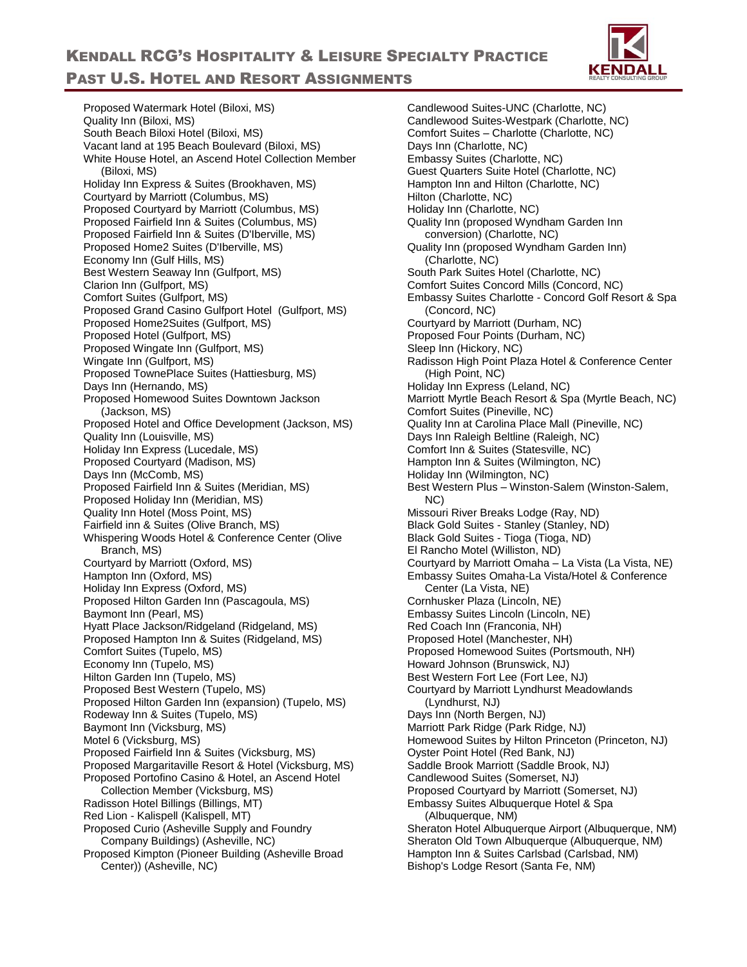

Proposed Watermark Hotel (Biloxi, MS) Quality Inn (Biloxi, MS) South Beach Biloxi Hotel (Biloxi, MS) Vacant land at 195 Beach Boulevard (Biloxi, MS) White House Hotel, an Ascend Hotel Collection Member (Biloxi, MS) Holiday Inn Express & Suites (Brookhaven, MS) Courtyard by Marriott (Columbus, MS) Proposed Courtyard by Marriott (Columbus, MS) Proposed Fairfield Inn & Suites (Columbus, MS) Proposed Fairfield Inn & Suites (D'Iberville, MS) Proposed Home2 Suites (D'Iberville, MS) Economy Inn (Gulf Hills, MS) Best Western Seaway Inn (Gulfport, MS) Clarion Inn (Gulfport, MS) Comfort Suites (Gulfport, MS) Proposed Grand Casino Gulfport Hotel (Gulfport, MS) Proposed Home2Suites (Gulfport, MS) Proposed Hotel (Gulfport, MS) Proposed Wingate Inn (Gulfport, MS) Wingate Inn (Gulfport, MS) Proposed TownePlace Suites (Hattiesburg, MS) Days Inn (Hernando, MS) Proposed Homewood Suites Downtown Jackson (Jackson, MS) Proposed Hotel and Office Development (Jackson, MS) Quality Inn (Louisville, MS) Holiday Inn Express (Lucedale, MS) Proposed Courtyard (Madison, MS) Days Inn (McComb, MS) Proposed Fairfield Inn & Suites (Meridian, MS) Proposed Holiday Inn (Meridian, MS) Quality Inn Hotel (Moss Point, MS) Fairfield inn & Suites (Olive Branch, MS) Whispering Woods Hotel & Conference Center (Olive Branch, MS) Courtyard by Marriott (Oxford, MS) Hampton Inn (Oxford, MS) Holiday Inn Express (Oxford, MS) Proposed Hilton Garden Inn (Pascagoula, MS) Baymont Inn (Pearl, MS) Hyatt Place Jackson/Ridgeland (Ridgeland, MS) Proposed Hampton Inn & Suites (Ridgeland, MS) Comfort Suites (Tupelo, MS) Economy Inn (Tupelo, MS) Hilton Garden Inn (Tupelo, MS) Proposed Best Western (Tupelo, MS) Proposed Hilton Garden Inn (expansion) (Tupelo, MS) Rodeway Inn & Suites (Tupelo, MS) Baymont Inn (Vicksburg, MS) Motel 6 (Vicksburg, MS) Proposed Fairfield Inn & Suites (Vicksburg, MS) Proposed Margaritaville Resort & Hotel (Vicksburg, MS) Proposed Portofino Casino & Hotel, an Ascend Hotel Collection Member (Vicksburg, MS) Radisson Hotel Billings (Billings, MT) Red Lion - Kalispell (Kalispell, MT) Proposed Curio (Asheville Supply and Foundry Company Buildings) (Asheville, NC) Proposed Kimpton (Pioneer Building (Asheville Broad Center)) (Asheville, NC)

Candlewood Suites-UNC (Charlotte, NC) Candlewood Suites-Westpark (Charlotte, NC) Comfort Suites – Charlotte (Charlotte, NC) Days Inn (Charlotte, NC) Embassy Suites (Charlotte, NC) Guest Quarters Suite Hotel (Charlotte, NC) Hampton Inn and Hilton (Charlotte, NC) Hilton (Charlotte, NC) Holiday Inn (Charlotte, NC) Quality Inn (proposed Wyndham Garden Inn conversion) (Charlotte, NC) Quality Inn (proposed Wyndham Garden Inn) (Charlotte, NC) South Park Suites Hotel (Charlotte, NC) Comfort Suites Concord Mills (Concord, NC) Embassy Suites Charlotte - Concord Golf Resort & Spa (Concord, NC) Courtyard by Marriott (Durham, NC) Proposed Four Points (Durham, NC) Sleep Inn (Hickory, NC) Radisson High Point Plaza Hotel & Conference Center (High Point, NC) Holiday Inn Express (Leland, NC) Marriott Myrtle Beach Resort & Spa (Myrtle Beach, NC) Comfort Suites (Pineville, NC) Quality Inn at Carolina Place Mall (Pineville, NC) Days Inn Raleigh Beltline (Raleigh, NC) Comfort Inn & Suites (Statesville, NC) Hampton Inn & Suites (Wilmington, NC) Holiday Inn (Wilmington, NC) Best Western Plus – Winston-Salem (Winston-Salem, NC) Missouri River Breaks Lodge (Ray, ND) Black Gold Suites - Stanley (Stanley, ND) Black Gold Suites - Tioga (Tioga, ND) El Rancho Motel (Williston, ND) Courtyard by Marriott Omaha – La Vista (La Vista, NE) Embassy Suites Omaha-La Vista/Hotel & Conference Center (La Vista, NE) Cornhusker Plaza (Lincoln, NE) Embassy Suites Lincoln (Lincoln, NE) Red Coach Inn (Franconia, NH) Proposed Hotel (Manchester, NH) Proposed Homewood Suites (Portsmouth, NH) Howard Johnson (Brunswick, NJ) Best Western Fort Lee (Fort Lee, NJ) Courtyard by Marriott Lyndhurst Meadowlands (Lyndhurst, NJ) Days Inn (North Bergen, NJ) Marriott Park Ridge (Park Ridge, NJ) Homewood Suites by Hilton Princeton (Princeton, NJ) Oyster Point Hotel (Red Bank, NJ) Saddle Brook Marriott (Saddle Brook, NJ) Candlewood Suites (Somerset, NJ) Proposed Courtyard by Marriott (Somerset, NJ) Embassy Suites Albuquerque Hotel & Spa (Albuquerque, NM) Sheraton Hotel Albuquerque Airport (Albuquerque, NM) Sheraton Old Town Albuquerque (Albuquerque, NM) Hampton Inn & Suites Carlsbad (Carlsbad, NM) Bishop's Lodge Resort (Santa Fe, NM)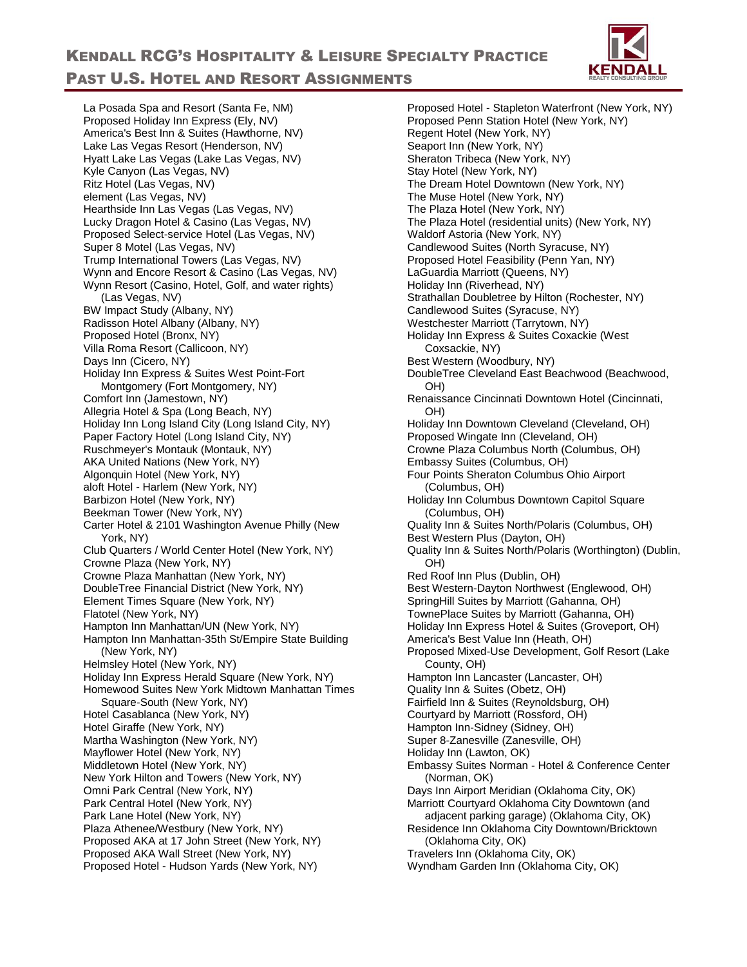

La Posada Spa and Resort (Santa Fe, NM) Proposed Holiday Inn Express (Ely, NV) America's Best Inn & Suites (Hawthorne, NV) Lake Las Vegas Resort (Henderson, NV) Hyatt Lake Las Vegas (Lake Las Vegas, NV) Kyle Canyon (Las Vegas, NV) Ritz Hotel (Las Vegas, NV) element (Las Vegas, NV) Hearthside Inn Las Vegas (Las Vegas, NV) Lucky Dragon Hotel & Casino (Las Vegas, NV) Proposed Select-service Hotel (Las Vegas, NV) Super 8 Motel (Las Vegas, NV) Trump International Towers (Las Vegas, NV) Wynn and Encore Resort & Casino (Las Vegas, NV) Wynn Resort (Casino, Hotel, Golf, and water rights) (Las Vegas, NV) BW Impact Study (Albany, NY) Radisson Hotel Albany (Albany, NY) Proposed Hotel (Bronx, NY) Villa Roma Resort (Callicoon, NY) Days Inn (Cicero, NY) Holiday Inn Express & Suites West Point-Fort Montgomery (Fort Montgomery, NY) Comfort Inn (Jamestown, NY) Allegria Hotel & Spa (Long Beach, NY) Holiday Inn Long Island City (Long Island City, NY) Paper Factory Hotel (Long Island City, NY) Ruschmeyer's Montauk (Montauk, NY) AKA United Nations (New York, NY) Algonquin Hotel (New York, NY) aloft Hotel - Harlem (New York, NY) Barbizon Hotel (New York, NY) Beekman Tower (New York, NY) Carter Hotel & 2101 Washington Avenue Philly (New York, NY) Club Quarters / World Center Hotel (New York, NY) Crowne Plaza (New York, NY) Crowne Plaza Manhattan (New York, NY) DoubleTree Financial District (New York, NY) Element Times Square (New York, NY) Flatotel (New York, NY) Hampton Inn Manhattan/UN (New York, NY) Hampton Inn Manhattan-35th St/Empire State Building (New York, NY) Helmsley Hotel (New York, NY) Holiday Inn Express Herald Square (New York, NY) Homewood Suites New York Midtown Manhattan Times Square-South (New York, NY) Hotel Casablanca (New York, NY) Hotel Giraffe (New York, NY) Martha Washington (New York, NY) Mayflower Hotel (New York, NY) Middletown Hotel (New York, NY) New York Hilton and Towers (New York, NY) Omni Park Central (New York, NY) Park Central Hotel (New York, NY) Park Lane Hotel (New York, NY) Plaza Athenee/Westbury (New York, NY) Proposed AKA at 17 John Street (New York, NY) Proposed AKA Wall Street (New York, NY) Proposed Hotel - Hudson Yards (New York, NY)

Proposed Hotel - Stapleton Waterfront (New York, NY) Proposed Penn Station Hotel (New York, NY) Regent Hotel (New York, NY) Seaport Inn (New York, NY) Sheraton Tribeca (New York, NY) Stay Hotel (New York, NY) The Dream Hotel Downtown (New York, NY) The Muse Hotel (New York, NY) The Plaza Hotel (New York, NY) The Plaza Hotel (residential units) (New York, NY) Waldorf Astoria (New York, NY) Candlewood Suites (North Syracuse, NY) Proposed Hotel Feasibility (Penn Yan, NY) LaGuardia Marriott (Queens, NY) Holiday Inn (Riverhead, NY) Strathallan Doubletree by Hilton (Rochester, NY) Candlewood Suites (Syracuse, NY) Westchester Marriott (Tarrytown, NY) Holiday Inn Express & Suites Coxackie (West Coxsackie, NY) Best Western (Woodbury, NY) DoubleTree Cleveland East Beachwood (Beachwood, OH) Renaissance Cincinnati Downtown Hotel (Cincinnati, OH) Holiday Inn Downtown Cleveland (Cleveland, OH) Proposed Wingate Inn (Cleveland, OH) Crowne Plaza Columbus North (Columbus, OH) Embassy Suites (Columbus, OH) Four Points Sheraton Columbus Ohio Airport (Columbus, OH) Holiday Inn Columbus Downtown Capitol Square (Columbus, OH) Quality Inn & Suites North/Polaris (Columbus, OH) Best Western Plus (Dayton, OH) Quality Inn & Suites North/Polaris (Worthington) (Dublin, OH) Red Roof Inn Plus (Dublin, OH) Best Western-Dayton Northwest (Englewood, OH) SpringHill Suites by Marriott (Gahanna, OH) TownePlace Suites by Marriott (Gahanna, OH) Holiday Inn Express Hotel & Suites (Groveport, OH) America's Best Value Inn (Heath, OH) Proposed Mixed-Use Development, Golf Resort (Lake County, OH) Hampton Inn Lancaster (Lancaster, OH) Quality Inn & Suites (Obetz, OH) Fairfield Inn & Suites (Reynoldsburg, OH) Courtyard by Marriott (Rossford, OH) Hampton Inn-Sidney (Sidney, OH) Super 8-Zanesville (Zanesville, OH) Holiday Inn (Lawton, OK) Embassy Suites Norman - Hotel & Conference Center (Norman, OK) Days Inn Airport Meridian (Oklahoma City, OK) Marriott Courtyard Oklahoma City Downtown (and adjacent parking garage) (Oklahoma City, OK) Residence Inn Oklahoma City Downtown/Bricktown (Oklahoma City, OK) Travelers Inn (Oklahoma City, OK) Wyndham Garden Inn (Oklahoma City, OK)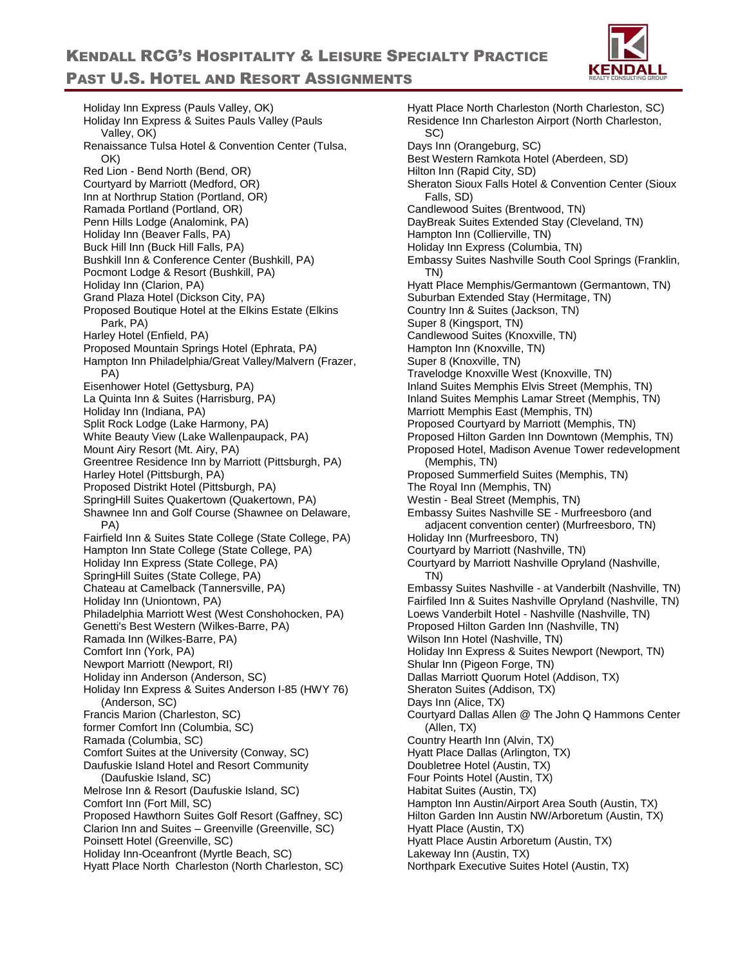

Holiday Inn Express (Pauls Valley, OK) Holiday Inn Express & Suites Pauls Valley (Pauls Valley, OK) Renaissance Tulsa Hotel & Convention Center (Tulsa, OK) Red Lion - Bend North (Bend, OR) Courtyard by Marriott (Medford, OR) Inn at Northrup Station (Portland, OR) Ramada Portland (Portland, OR) Penn Hills Lodge (Analomink, PA) Holiday Inn (Beaver Falls, PA) Buck Hill Inn (Buck Hill Falls, PA) Bushkill Inn & Conference Center (Bushkill, PA) Pocmont Lodge & Resort (Bushkill, PA) Holiday Inn (Clarion, PA) Grand Plaza Hotel (Dickson City, PA) Proposed Boutique Hotel at the Elkins Estate (Elkins Park, PA) Harley Hotel (Enfield, PA) Proposed Mountain Springs Hotel (Ephrata, PA) Hampton Inn Philadelphia/Great Valley/Malvern (Frazer, PA) Eisenhower Hotel (Gettysburg, PA) La Quinta Inn & Suites (Harrisburg, PA) Holiday Inn (Indiana, PA) Split Rock Lodge (Lake Harmony, PA) White Beauty View (Lake Wallenpaupack, PA) Mount Airy Resort (Mt. Airy, PA) Greentree Residence Inn by Marriott (Pittsburgh, PA) Harley Hotel (Pittsburgh, PA) Proposed Distrikt Hotel (Pittsburgh, PA) SpringHill Suites Quakertown (Quakertown, PA) Shawnee Inn and Golf Course (Shawnee on Delaware, PA) Fairfield Inn & Suites State College (State College, PA) Hampton Inn State College (State College, PA) Holiday Inn Express (State College, PA) SpringHill Suites (State College, PA) Chateau at Camelback (Tannersville, PA) Holiday Inn (Uniontown, PA) Philadelphia Marriott West (West Conshohocken, PA) Genetti's Best Western (Wilkes-Barre, PA) Ramada Inn (Wilkes-Barre, PA) Comfort Inn (York, PA) Newport Marriott (Newport, RI) Holiday inn Anderson (Anderson, SC) Holiday Inn Express & Suites Anderson I-85 (HWY 76) (Anderson, SC) Francis Marion (Charleston, SC) former Comfort Inn (Columbia, SC) Ramada (Columbia, SC) Comfort Suites at the University (Conway, SC) Daufuskie Island Hotel and Resort Community (Daufuskie Island, SC) Melrose Inn & Resort (Daufuskie Island, SC) Comfort Inn (Fort Mill, SC) Proposed Hawthorn Suites Golf Resort (Gaffney, SC) Clarion Inn and Suites – Greenville (Greenville, SC) Poinsett Hotel (Greenville, SC) Holiday Inn-Oceanfront (Myrtle Beach, SC) Hyatt Place North Charleston (North Charleston, SC)

Hyatt Place North Charleston (North Charleston, SC) Residence Inn Charleston Airport (North Charleston, SC) Days Inn (Orangeburg, SC) Best Western Ramkota Hotel (Aberdeen, SD) Hilton Inn (Rapid City, SD) Sheraton Sioux Falls Hotel & Convention Center (Sioux Falls, SD) Candlewood Suites (Brentwood, TN) DayBreak Suites Extended Stay (Cleveland, TN) Hampton Inn (Collierville, TN) Holiday Inn Express (Columbia, TN) Embassy Suites Nashville South Cool Springs (Franklin, TN) Hyatt Place Memphis/Germantown (Germantown, TN) Suburban Extended Stay (Hermitage, TN) Country Inn & Suites (Jackson, TN) Super 8 (Kingsport, TN) Candlewood Suites (Knoxville, TN) Hampton Inn (Knoxville, TN) Super 8 (Knoxville, TN) Travelodge Knoxville West (Knoxville, TN) Inland Suites Memphis Elvis Street (Memphis, TN) Inland Suites Memphis Lamar Street (Memphis, TN) Marriott Memphis East (Memphis, TN) Proposed Courtyard by Marriott (Memphis, TN) Proposed Hilton Garden Inn Downtown (Memphis, TN) Proposed Hotel, Madison Avenue Tower redevelopment (Memphis, TN) Proposed Summerfield Suites (Memphis, TN) The Royal Inn (Memphis, TN) Westin - Beal Street (Memphis, TN) Embassy Suites Nashville SE - Murfreesboro (and adjacent convention center) (Murfreesboro, TN) Holiday Inn (Murfreesboro, TN) Courtyard by Marriott (Nashville, TN) Courtyard by Marriott Nashville Opryland (Nashville, TN) Embassy Suites Nashville - at Vanderbilt (Nashville, TN) Fairfiled Inn & Suites Nashville Opryland (Nashville, TN) Loews Vanderbilt Hotel - Nashville (Nashville, TN) Proposed Hilton Garden Inn (Nashville, TN) Wilson Inn Hotel (Nashville, TN) Holiday Inn Express & Suites Newport (Newport, TN) Shular Inn (Pigeon Forge, TN) Dallas Marriott Quorum Hotel (Addison, TX) Sheraton Suites (Addison, TX) Days Inn (Alice, TX) Courtyard Dallas Allen @ The John Q Hammons Center (Allen, TX) Country Hearth Inn (Alvin, TX) Hyatt Place Dallas (Arlington, TX) Doubletree Hotel (Austin, TX) Four Points Hotel (Austin, TX) Habitat Suites (Austin, TX) Hampton Inn Austin/Airport Area South (Austin, TX) Hilton Garden Inn Austin NW/Arboretum (Austin, TX) Hyatt Place (Austin, TX) Hyatt Place Austin Arboretum (Austin, TX) Lakeway Inn (Austin, TX) Northpark Executive Suites Hotel (Austin, TX)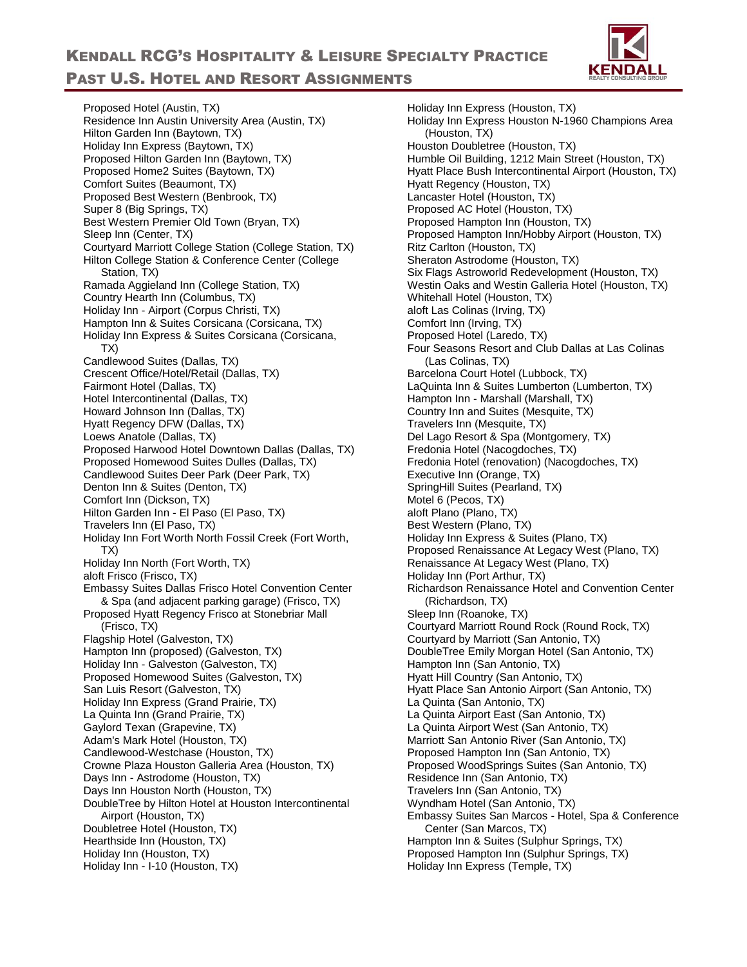

Proposed Hotel (Austin, TX) Residence Inn Austin University Area (Austin, TX) Hilton Garden Inn (Baytown, TX) Holiday Inn Express (Baytown, TX) Proposed Hilton Garden Inn (Baytown, TX) Proposed Home2 Suites (Baytown, TX) Comfort Suites (Beaumont, TX) Proposed Best Western (Benbrook, TX) Super 8 (Big Springs, TX) Best Western Premier Old Town (Bryan, TX) Sleep Inn (Center, TX) Courtyard Marriott College Station (College Station, TX) Hilton College Station & Conference Center (College Station, TX) Ramada Aggieland Inn (College Station, TX) Country Hearth Inn (Columbus, TX) Holiday Inn - Airport (Corpus Christi, TX) Hampton Inn & Suites Corsicana (Corsicana, TX) Holiday Inn Express & Suites Corsicana (Corsicana, TX) Candlewood Suites (Dallas, TX) Crescent Office/Hotel/Retail (Dallas, TX) Fairmont Hotel (Dallas, TX) Hotel Intercontinental (Dallas, TX) Howard Johnson Inn (Dallas, TX) Hyatt Regency DFW (Dallas, TX) Loews Anatole (Dallas, TX) Proposed Harwood Hotel Downtown Dallas (Dallas, TX) Proposed Homewood Suites Dulles (Dallas, TX) Candlewood Suites Deer Park (Deer Park, TX) Denton Inn & Suites (Denton, TX) Comfort Inn (Dickson, TX) Hilton Garden Inn - El Paso (El Paso, TX) Travelers Inn (El Paso, TX) Holiday Inn Fort Worth North Fossil Creek (Fort Worth, TX) Holiday Inn North (Fort Worth, TX) aloft Frisco (Frisco, TX) Embassy Suites Dallas Frisco Hotel Convention Center & Spa (and adjacent parking garage) (Frisco, TX) Proposed Hyatt Regency Frisco at Stonebriar Mall (Frisco, TX) Flagship Hotel (Galveston, TX) Hampton Inn (proposed) (Galveston, TX) Holiday Inn - Galveston (Galveston, TX) Proposed Homewood Suites (Galveston, TX) San Luis Resort (Galveston, TX) Holiday Inn Express (Grand Prairie, TX) La Quinta Inn (Grand Prairie, TX) Gaylord Texan (Grapevine, TX) Adam's Mark Hotel (Houston, TX) Candlewood-Westchase (Houston, TX) Crowne Plaza Houston Galleria Area (Houston, TX) Days Inn - Astrodome (Houston, TX) Days Inn Houston North (Houston, TX) DoubleTree by Hilton Hotel at Houston Intercontinental Airport (Houston, TX) Doubletree Hotel (Houston, TX) Hearthside Inn (Houston, TX) Holiday Inn (Houston, TX) Holiday Inn - I-10 (Houston, TX)

Holiday Inn Express (Houston, TX) Holiday Inn Express Houston N-1960 Champions Area (Houston, TX) Houston Doubletree (Houston, TX) Humble Oil Building, 1212 Main Street (Houston, TX) Hyatt Place Bush Intercontinental Airport (Houston, TX) Hyatt Regency (Houston, TX) Lancaster Hotel (Houston, TX) Proposed AC Hotel (Houston, TX) Proposed Hampton Inn (Houston, TX) Proposed Hampton Inn/Hobby Airport (Houston, TX) Ritz Carlton (Houston, TX) Sheraton Astrodome (Houston, TX) Six Flags Astroworld Redevelopment (Houston, TX) Westin Oaks and Westin Galleria Hotel (Houston, TX) Whitehall Hotel (Houston, TX) aloft Las Colinas (Irving, TX) Comfort Inn (Irving, TX) Proposed Hotel (Laredo, TX) Four Seasons Resort and Club Dallas at Las Colinas (Las Colinas, TX) Barcelona Court Hotel (Lubbock, TX) LaQuinta Inn & Suites Lumberton (Lumberton, TX) Hampton Inn - Marshall (Marshall, TX) Country Inn and Suites (Mesquite, TX) Travelers Inn (Mesquite, TX) Del Lago Resort & Spa (Montgomery, TX) Fredonia Hotel (Nacogdoches, TX) Fredonia Hotel (renovation) (Nacogdoches, TX) Executive Inn (Orange, TX) SpringHill Suites (Pearland, TX) Motel 6 (Pecos, TX) aloft Plano (Plano, TX) Best Western (Plano, TX) Holiday Inn Express & Suites (Plano, TX) Proposed Renaissance At Legacy West (Plano, TX) Renaissance At Legacy West (Plano, TX) Holiday Inn (Port Arthur, TX) Richardson Renaissance Hotel and Convention Center (Richardson, TX) Sleep Inn (Roanoke, TX) Courtyard Marriott Round Rock (Round Rock, TX) Courtyard by Marriott (San Antonio, TX) DoubleTree Emily Morgan Hotel (San Antonio, TX) Hampton Inn (San Antonio, TX) Hyatt Hill Country (San Antonio, TX) Hyatt Place San Antonio Airport (San Antonio, TX) La Quinta (San Antonio, TX) La Quinta Airport East (San Antonio, TX) La Quinta Airport West (San Antonio, TX) Marriott San Antonio River (San Antonio, TX) Proposed Hampton Inn (San Antonio, TX) Proposed WoodSprings Suites (San Antonio, TX) Residence Inn (San Antonio, TX) Travelers Inn (San Antonio, TX) Wyndham Hotel (San Antonio, TX) Embassy Suites San Marcos - Hotel, Spa & Conference Center (San Marcos, TX) Hampton Inn & Suites (Sulphur Springs, TX) Proposed Hampton Inn (Sulphur Springs, TX) Holiday Inn Express (Temple, TX)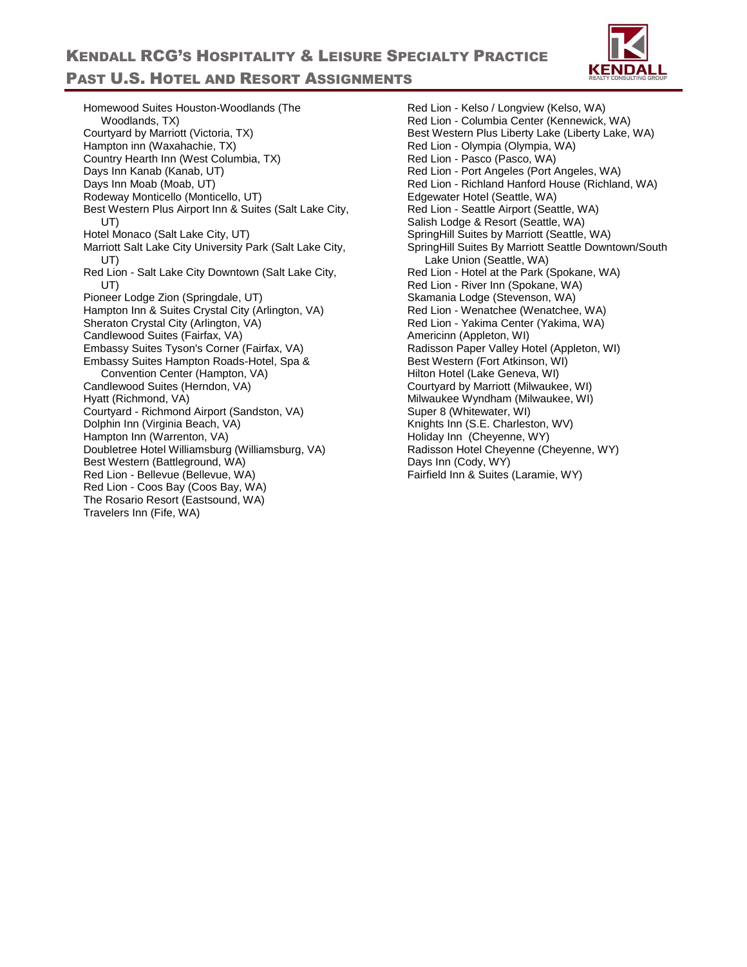

Homewood Suites Houston-Woodlands (The Woodlands, TX) Courtyard by Marriott (Victoria, TX) Hampton inn (Waxahachie, TX) Country Hearth Inn (West Columbia, TX) Days Inn Kanab (Kanab, UT) Days Inn Moab (Moab, UT) Rodeway Monticello (Monticello, UT) Best Western Plus Airport Inn & Suites (Salt Lake City, UT) Hotel Monaco (Salt Lake City, UT) Marriott Salt Lake City University Park (Salt Lake City, UT) Red Lion - Salt Lake City Downtown (Salt Lake City, UT) Pioneer Lodge Zion (Springdale, UT) Hampton Inn & Suites Crystal City (Arlington, VA) Sheraton Crystal City (Arlington, VA) Candlewood Suites (Fairfax, VA) Embassy Suites Tyson's Corner (Fairfax, VA) Embassy Suites Hampton Roads-Hotel, Spa & Convention Center (Hampton, VA) Candlewood Suites (Herndon, VA) Hyatt (Richmond, VA) Courtyard - Richmond Airport (Sandston, VA) Dolphin Inn (Virginia Beach, VA) Hampton Inn (Warrenton, VA) Doubletree Hotel Williamsburg (Williamsburg, VA) Best Western (Battleground, WA) Red Lion - Bellevue (Bellevue, WA) Red Lion - Coos Bay (Coos Bay, WA) The Rosario Resort (Eastsound, WA) Travelers Inn (Fife, WA)

Red Lion - Kelso / Longview (Kelso, WA) Red Lion - Columbia Center (Kennewick, WA) Best Western Plus Liberty Lake (Liberty Lake, WA) Red Lion - Olympia (Olympia, WA) Red Lion - Pasco (Pasco, WA) Red Lion - Port Angeles (Port Angeles, WA) Red Lion - Richland Hanford House (Richland, WA) Edgewater Hotel (Seattle, WA) Red Lion - Seattle Airport (Seattle, WA) Salish Lodge & Resort (Seattle, WA) SpringHill Suites by Marriott (Seattle, WA) SpringHill Suites By Marriott Seattle Downtown/South Lake Union (Seattle, WA) Red Lion - Hotel at the Park (Spokane, WA) Red Lion - River Inn (Spokane, WA) Skamania Lodge (Stevenson, WA) Red Lion - Wenatchee (Wenatchee, WA) Red Lion - Yakima Center (Yakima, WA) Americinn (Appleton, WI) Radisson Paper Valley Hotel (Appleton, WI) Best Western (Fort Atkinson, WI) Hilton Hotel (Lake Geneva, WI) Courtyard by Marriott (Milwaukee, WI) Milwaukee Wyndham (Milwaukee, WI) Super 8 (Whitewater, WI) Knights Inn (S.E. Charleston, WV) Holiday Inn (Cheyenne, WY) Radisson Hotel Cheyenne (Cheyenne, WY) Days Inn (Cody, WY) Fairfield Inn & Suites (Laramie, WY)